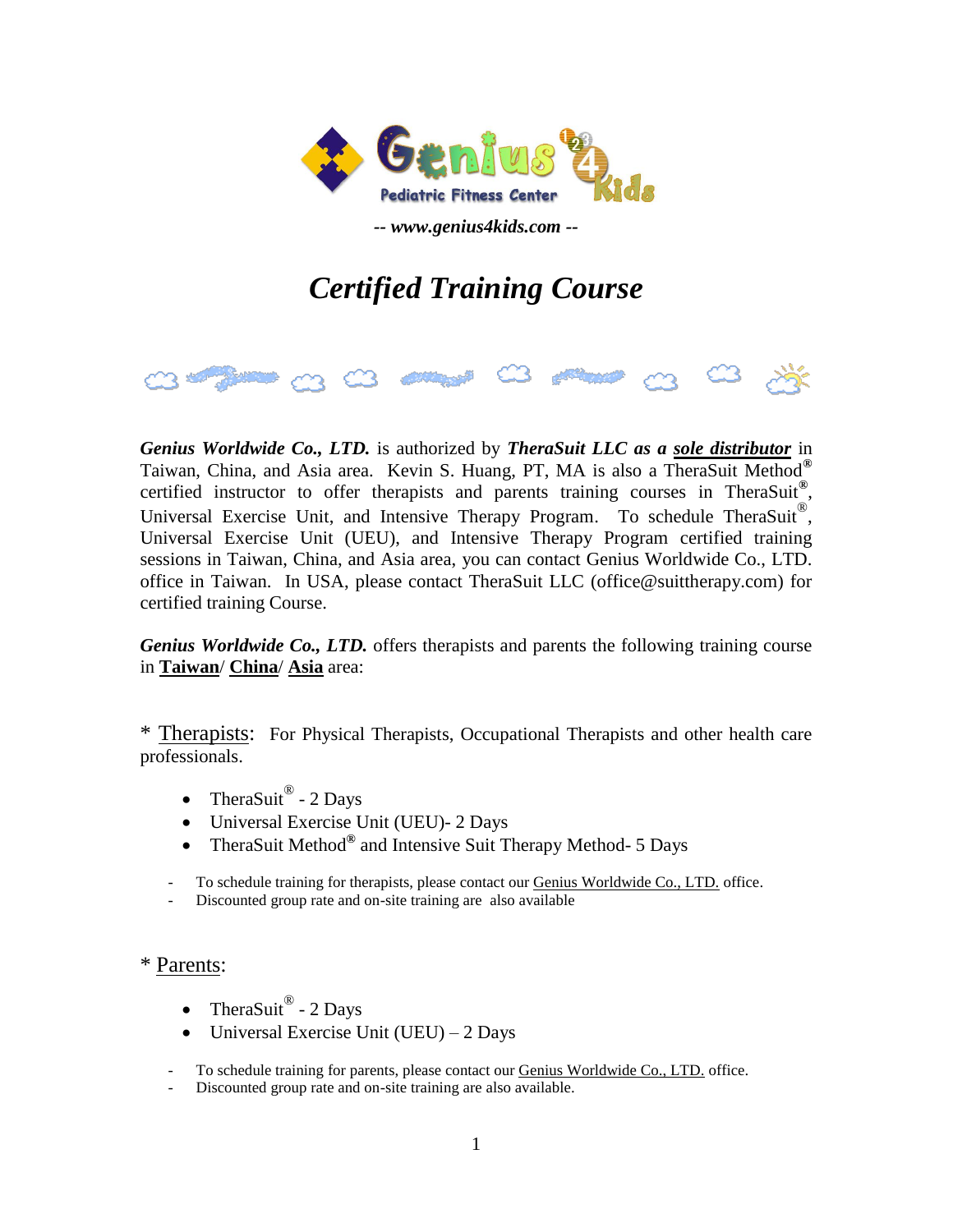

*-- www.genius4kids.com --*

## *Certified Training Course*



*Genius Worldwide Co., LTD.* is authorized by *TheraSuit LLC as a sole distributor* in Taiwan, China, and Asia area. Kevin S. Huang, PT, MA is also a TheraSuit Method**®** certified instructor to offer therapists and parents training courses in TheraSuit**®** , Universal Exercise Unit, and Intensive Therapy Program. To schedule TheraSuit<sup>®</sup>, Universal Exercise Unit (UEU), and Intensive Therapy Program certified training sessions in Taiwan, China, and Asia area, you can contact Genius Worldwide Co., LTD. office in Taiwan. In USA, please contact TheraSuit LLC (office@suittherapy.com) for certified training Course.

*Genius Worldwide Co., LTD.* offers therapists and parents the following training course in **Taiwan**/ **China**/ **Asia** area:

\* Therapists: For Physical Therapists, Occupational Therapists and other health care professionals.

- TheraSuit® 2 Days
- Universal Exercise Unit (UEU)- 2 Days
- TheraSuit Method **®** and Intensive Suit Therapy Method- 5 Days
- To schedule training for therapists, please contact our Genius Worldwide Co., LTD. office.
- Discounted group rate and on-site training are also available

\* Parents:

- TheraSuit® 2 Days
- $\bullet$  Universal Exercise Unit (UEU) 2 Days
- To schedule training for parents, please contact our **Genius Worldwide Co., LTD**, office.
- Discounted group rate and on-site training are also available.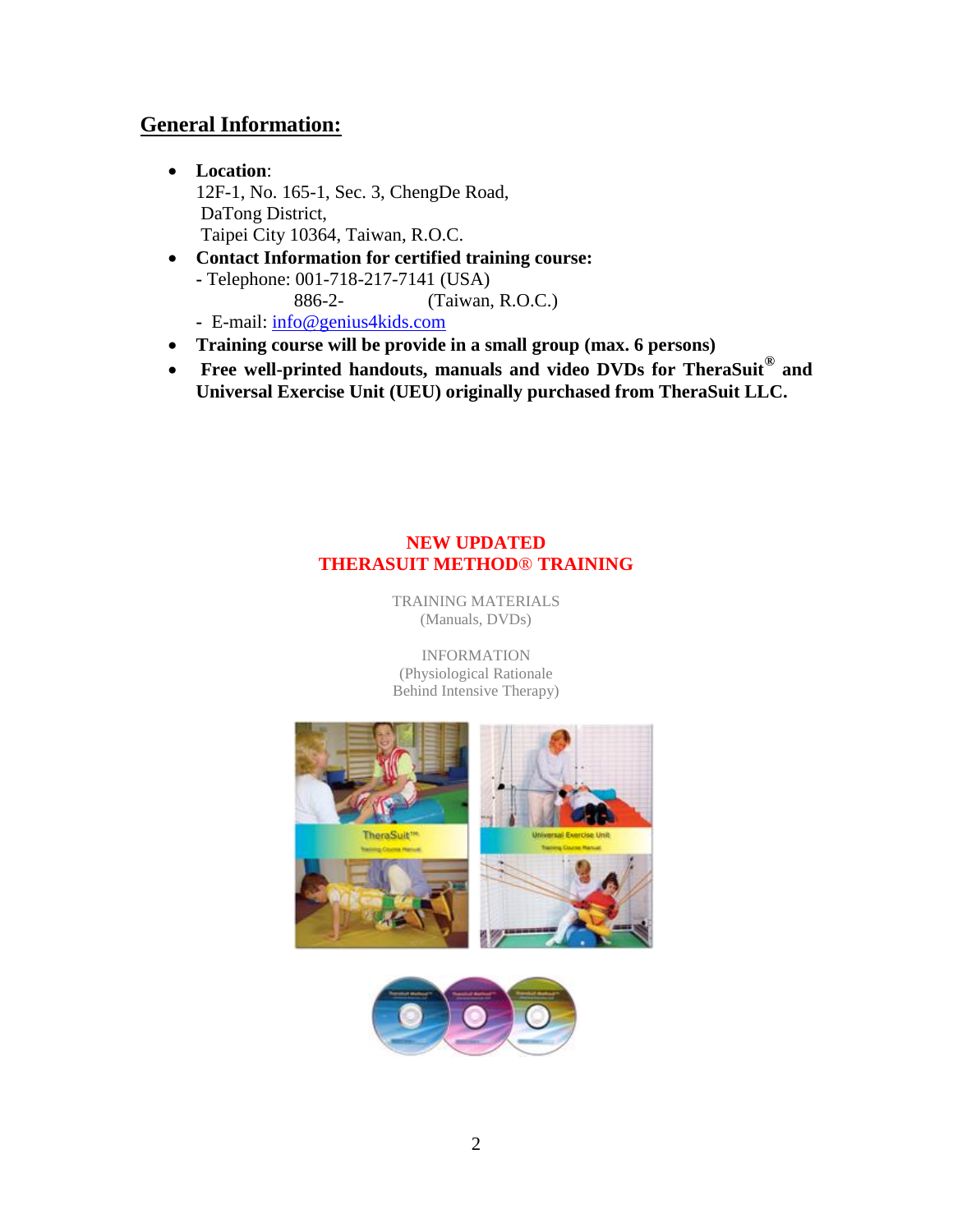## **General Information:**

- **Location**: 12F-1, No. 165-1, Sec. 3, ChengDe Road, DaTong District, Taipei City 10364, Taiwan, R.O.C.
- **Contact Information for certified training course: -** Telephone: 001-718-217-7141 (USA) 886-2- (Taiwan, R.O.C.)  **-** E-mail: [info@genius4kids.com](mailto:info@genius4kids.com)
- **Training course will be provide in a small group (max. 6 persons)**
- **•** Free well-printed handouts, manuals and video DVDs for TheraSuit<sup>®</sup> and **Universal Exercise Unit (UEU) originally purchased from TheraSuit LLC.**

## **NEW UPDATED THERASUIT METHOD**® **TRAINING**

TRAINING MATERIALS (Manuals, DVDs)

INFORMATION (Physiological Rationale Behind Intensive Therapy)